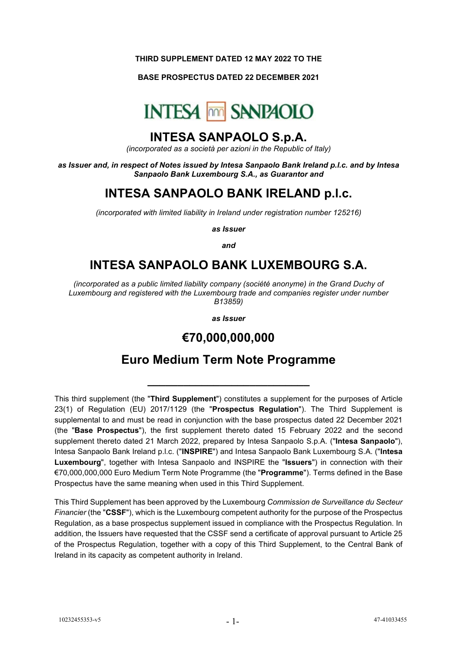#### **THIRD SUPPLEMENT DATED 12 MAY 2022 TO THE**

### **BASE PROSPECTUS DATED 22 DECEMBER 2021**



### **INTESA SANPAOLO S.p.A.**

*(incorporated as a società per azioni in the Republic of Italy)*

*as Issuer and, in respect of Notes issued by Intesa Sanpaolo Bank Ireland p.l.c. and by Intesa Sanpaolo Bank Luxembourg S.A., as Guarantor and*

# **INTESA SANPAOLO BANK IRELAND p.l.c.**

*(incorporated with limited liability in Ireland under registration number 125216)*

*as Issuer*

*and*

# **INTESA SANPAOLO BANK LUXEMBOURG S.A.**

*(incorporated as a public limited liability company (société anonyme) in the Grand Duchy of Luxembourg and registered with the Luxembourg trade and companies register under number B13859)*

*as Issuer*

## **€70,000,000,000**

## **Euro Medium Term Note Programme**

**\_\_\_\_\_\_\_\_\_\_\_\_\_\_\_\_\_\_\_\_\_\_\_\_\_\_\_**

This third supplement (the "**Third Supplement**") constitutes a supplement for the purposes of Article 23(1) of Regulation (EU) 2017/1129 (the "**Prospectus Regulation**"). The Third Supplement is supplemental to and must be read in conjunction with the base prospectus dated 22 December 2021 (the "**Base Prospectus**"), the first supplement thereto dated 15 February 2022 and the second supplement thereto dated 21 March 2022, prepared by Intesa Sanpaolo S.p.A. ("**Intesa Sanpaolo**"), Intesa Sanpaolo Bank Ireland p.l.c. ("**INSPIRE**") and Intesa Sanpaolo Bank Luxembourg S.A. ("**Intesa Luxembourg**", together with Intesa Sanpaolo and INSPIRE the "**Issuers**") in connection with their €70,000,000,000 Euro Medium Term Note Programme (the "**Programme**"). Terms defined in the Base Prospectus have the same meaning when used in this Third Supplement.

This Third Supplement has been approved by the Luxembourg *Commission de Surveillance du Secteur Financier* (the "**CSSF**"), which is the Luxembourg competent authority for the purpose of the Prospectus Regulation, as a base prospectus supplement issued in compliance with the Prospectus Regulation. In addition, the Issuers have requested that the CSSF send a certificate of approval pursuant to Article 25 of the Prospectus Regulation, together with a copy of this Third Supplement, to the Central Bank of Ireland in its capacity as competent authority in Ireland.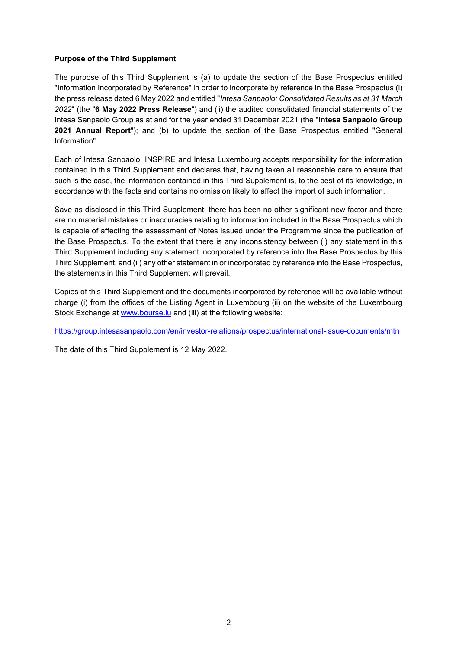### **Purpose of the Third Supplement**

The purpose of this Third Supplement is (a) to update the section of the Base Prospectus entitled "Information Incorporated by Reference" in order to incorporate by reference in the Base Prospectus (i) the press release dated 6 May 2022 and entitled "*Intesa Sanpaolo: Consolidated Results as at 31 March 2022*" (the "**6 May 2022 Press Release**") and (ii) the audited consolidated financial statements of the Intesa Sanpaolo Group as at and for the year ended 31 December 2021 (the "**Intesa Sanpaolo Group 2021 Annual Report**"); and (b) to update the section of the Base Prospectus entitled "General Information".

Each of Intesa Sanpaolo, INSPIRE and Intesa Luxembourg accepts responsibility for the information contained in this Third Supplement and declares that, having taken all reasonable care to ensure that such is the case, the information contained in this Third Supplement is, to the best of its knowledge, in accordance with the facts and contains no omission likely to affect the import of such information.

Save as disclosed in this Third Supplement, there has been no other significant new factor and there are no material mistakes or inaccuracies relating to information included in the Base Prospectus which is capable of affecting the assessment of Notes issued under the Programme since the publication of the Base Prospectus. To the extent that there is any inconsistency between (i) any statement in this Third Supplement including any statement incorporated by reference into the Base Prospectus by this Third Supplement, and (ii) any other statement in or incorporated by reference into the Base Prospectus, the statements in this Third Supplement will prevail.

Copies of this Third Supplement and the documents incorporated by reference will be available without charge (i) from the offices of the Listing Agent in Luxembourg (ii) on the website of the Luxembourg Stock Exchange at [www.bourse.lu](http://www.bourse.lu/) and (iii) at the following website:

<https://group.intesasanpaolo.com/en/investor-relations/prospectus/international-issue-documents/mtn>

The date of this Third Supplement is 12 May 2022.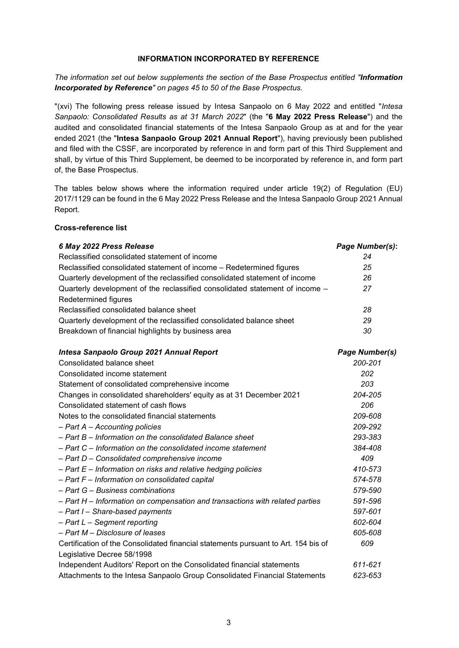#### **INFORMATION INCORPORATED BY REFERENCE**

*The information set out below supplements the section of the Base Prospectus entitled "Information Incorporated by Reference" on pages 45 to 50 of the Base Prospectus.*

"(xvi) The following press release issued by Intesa Sanpaolo on 6 May 2022 and entitled "*Intesa Sanpaolo: Consolidated Results as at 31 March 2022*" (the "**6 May 2022 Press Release**") and the audited and consolidated financial statements of the Intesa Sanpaolo Group as at and for the year ended 2021 (the "**Intesa Sanpaolo Group 2021 Annual Report**"), having previously been published and filed with the CSSF, are incorporated by reference in and form part of this Third Supplement and shall, by virtue of this Third Supplement, be deemed to be incorporated by reference in, and form part of, the Base Prospectus.

The tables below shows where the information required under article 19(2) of Regulation (EU) 2017/1129 can be found in the 6 May 2022 Press Release and the Intesa Sanpaolo Group 2021 Annual Report.

#### **Cross-reference list**

| 6 May 2022 Press Release                                                           | Page Number(s):       |
|------------------------------------------------------------------------------------|-----------------------|
| Reclassified consolidated statement of income                                      | 24                    |
| Reclassified consolidated statement of income - Redetermined figures               | 25                    |
| Quarterly development of the reclassified consolidated statement of income         | 26                    |
| Quarterly development of the reclassified consolidated statement of income -       | 27                    |
| Redetermined figures                                                               |                       |
| Reclassified consolidated balance sheet                                            | 28                    |
| Quarterly development of the reclassified consolidated balance sheet               | 29                    |
| Breakdown of financial highlights by business area                                 | 30                    |
| Intesa Sanpaolo Group 2021 Annual Report                                           | <b>Page Number(s)</b> |
| Consolidated balance sheet                                                         | 200-201               |
| Consolidated income statement                                                      | 202                   |
| Statement of consolidated comprehensive income                                     | 203                   |
| Changes in consolidated shareholders' equity as at 31 December 2021                | 204-205               |
| Consolidated statement of cash flows                                               | 206                   |
| Notes to the consolidated financial statements                                     | 209-608               |
| $-$ Part A $-$ Accounting policies                                                 | 209-292               |
| - Part B - Information on the consolidated Balance sheet                           | 293-383               |
| - Part C - Information on the consolidated income statement                        | 384-408               |
| - Part D - Consolidated comprehensive income                                       | 409                   |
| - Part E - Information on risks and relative hedging policies                      | 410-573               |
| $-$ Part F – Information on consolidated capital                                   | 574-578               |
| - Part G - Business combinations                                                   | 579-590               |
| - Part H - Information on compensation and transactions with related parties       | 591-596               |
| - Part I - Share-based payments                                                    | 597-601               |
| $-$ Part L $-$ Segment reporting                                                   | 602-604               |
| - Part M - Disclosure of leases                                                    | 605-608               |
| Certification of the Consolidated financial statements pursuant to Art. 154 bis of | 609                   |
| Legislative Decree 58/1998                                                         |                       |
| Independent Auditors' Report on the Consolidated financial statements              | 611-621               |
| Attachments to the Intesa Sanpaolo Group Consolidated Financial Statements         | 623-653               |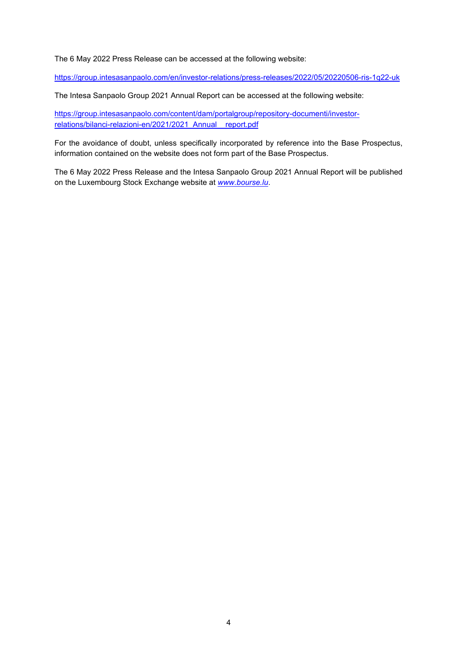The 6 May 2022 Press Release can be accessed at the following website:

<https://group.intesasanpaolo.com/en/investor-relations/press-releases/2022/05/20220506-ris-1q22-uk>

The Intesa Sanpaolo Group 2021 Annual Report can be accessed at the following website:

[https://group.intesasanpaolo.com/content/dam/portalgroup/repository-documenti/investor](https://group.intesasanpaolo.com/content/dam/portalgroup/repository-documenti/investor-relations/bilanci-relazioni-en/2021/2021_Annual__report.pdf)[relations/bilanci-relazioni-en/2021/2021\\_Annual\\_\\_report.pdf](https://group.intesasanpaolo.com/content/dam/portalgroup/repository-documenti/investor-relations/bilanci-relazioni-en/2021/2021_Annual__report.pdf)

For the avoidance of doubt, unless specifically incorporated by reference into the Base Prospectus, information contained on the website does not form part of the Base Prospectus.

The 6 May 2022 Press Release and the Intesa Sanpaolo Group 2021 Annual Report will be published on the Luxembourg Stock Exchange website at *[www.bourse.lu](http://www.bourse.lu/)*.